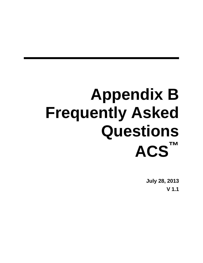# **Appendix B Frequently Asked Questions ACS™**

**July 28, 2013 V 1.1**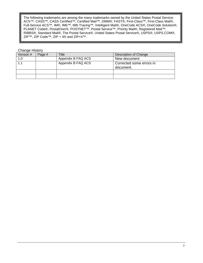The following trademarks are among the many trademarks owned by the United States Postal Service: ACS™, CASS™, CASS Certified™, Certified Mail™, DMM®, FAST®, First-Class™, First-Class Mail®, Full-Service ACS™, IM®, IMb™, IMb Tracing™, Intelligent Mail®, OneCode ACS®, OneCode Solution®, PLANET Code®, *PostalOne!*®, POSTNET™, Postal Service™, Priority Mail®, Registered Mail™, RIBBS®, Standard Mail®, The Postal Service®, United States Postal Service®, USPS®, USPS.COM®, ZIP™, ZIP Code™, ZIP + 4® and ZIP+4™.

#### Change History

| Version # | Page # | Title              | Description of Change                 |
|-----------|--------|--------------------|---------------------------------------|
| 1.0       |        | Appendix B FAQ ACS | New document                          |
| 1.1       |        | Appendix B FAQ ACS | Corrected some errors in<br>document. |
|           |        |                    |                                       |
|           |        |                    |                                       |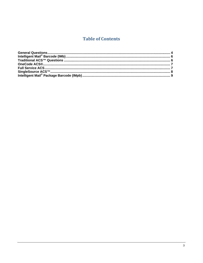## **Table of Contents**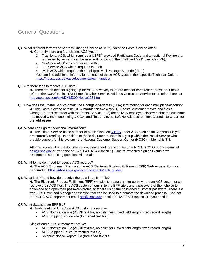## <span id="page-3-0"></span>General Questions

*Q1:* What different formats of Address Change Service (ACS™) does the Postal Service offer?

- A: Currently there are four distinct ACS types:
	- 1. Traditional ACS, which requires a USPS<sup>®</sup> provided Participant Code and an optional Keyline that is created by you and can be used with or without the Intelligent Mail® barcode (IMb);
	- 2. OneCode  $\angle ACS^{\circledast}$  which requires the IMb
	- 3. Full Service ACS which requires the IMb
	- 4. IMpb ACS which requires the Intelligent Mail Package Barcode (IMpb)

You can find additional information on each of these ACS types in their specific Technical Guide. [https://ribbs.usps.gov/acs/documents/tech\\_guides/](https://ribbs.usps.gov/acs/documents/tech_guides/)

#### *Q2:* Are there fees to receive ACS data?

A: There are no fees for signing up for ACS; however, there are fees for each record provided. Please refer to the *DMM*® Notice 123 Domestic Other Service, Address Correction Service for all related fees at <http://pe.usps.com/text/DMM300/Notice123.htm>

*Q3:* How does the Postal Service obtain the Change-of-Address (COA) information for each mail piece/account? *A:* The Postal Service obtains COA information two ways: 1) A postal customer moves and files a Change-of-Address order with the Postal Service, or 2) the delivery employee discovers that the customer has moved without submitting a COA, and files a "Moved, Left No Address" or "Box Closed, No Order" for the addressee.

#### *Q4:* Where can I go for additional information?

A: The Postal Service has a number of publications on [RIBBS](https://ribbs.usps.gov/intelligentmail_mailpieces/documents/tech_guides/NewStidPreNotice.pdf) under ACS such as this Appendix B you are currently reading. In addition to these documents, there is a group within the Postal Service who provide support for this system - the National Customer Support Center (NCSC) in Memphis TN.

After reviewing all of the documentation, please feel free to contact the NCSC ACS Group via email at [acs@usps.gov](mailto:acs@usps.gov) or by phone at (877) 640-0724 (Option 1). Due to expected high call volume we recommend submitting questions via email.

#### **Q5:** What forms do I need to receive ACS records?

*A:* The ACS Enrollment Form and the ACS Electronic Product Fulfillment (EPF) Web Access Form can be found at: [https://ribbs.usps.gov/acs/documents/tech\\_guides/](https://ribbs.usps.gov/acs/documents/tech_guides/)

#### *Q6:* What is EPF and how do I receive the data in an EPF file?

*A:* The Electronic Product Fulfillment (EPF) website is a data transfer portal where an ACS customer can retrieve their ACS files. The ACS customer logs in to the EPF site using a password of their choice to download and open their password-protected zip file using their assigned customer password. There is a free ACS Download Manager application that can be used to automate the download process. Contact the NCSC ACS department email [acs@usps.gov](mailto:acs@usps.gov) or call 877-640-0724 (option 1) if you need it.

#### *Q7:* What data is in an EPF file?

*A:* Traditional and OneCode ACS customers receive:

- ACS Notification File (ASCII text file, no delimiters, fixed field length, fixed record length)
- ACS Shipping Notice File (formatted text file)

SingleSource ACS customers receive:

- ACS Notification File (ASCII text file, no delimiters, fixed field length, fixed record length)
- ACS Shipping Notice (formatted text file)
- Shipping Notice Report File (formatted text file)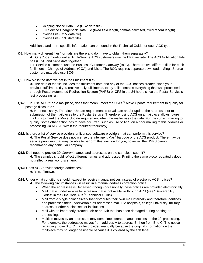- Shipping Notice Data File (CSV data file)
- Full Service Chargeback Data File (fixed field length, comma delimited, fixed record length)
- Invoice File (CSV data file)
- Invoice File (PDF data file)

Additional and more specific information can be found in the Technical Guide for each ACS type.

Q8: How many different files/ formats are there and do I have to obtain them separately?

*A:* OneCode, Traditional & SingleSource ACS customers use the EPF website. The ACS Notification File has (COA) and Nixie data together.

Full Service customers use the Business Customer Gateway (BCG). There are two different files for each fulfillment – Change-of-Address (COA) and Nixie. The BCG requires separate downloads. SingleSource customers may also use BCG.

*Q9:* How old is the data we get in the Fulfillment file?

A: The date of the file includes the fulfillment date and any of the ACS notices created since your previous fulfillment. If you receive daily fulfillments, today's file contains everything that was processed through Postal Automated Redirection System (PARS) or CFS in the 24 hours since the Postal Service's last processing run.

Q10: If I use ACS<sup>™</sup> on a mailpiece, does that mean I meet the USPS<sup>®</sup> Move Update requirement to qualify for postage discounts?

A: Not necessarily. The Move Update requirement is to validate and/or update the address prior to submission of the mailpieces to the Postal Service. Therefore, using ACS on a mailpiece allows future mailings to meet the Move Update requirement when the mailer uses the data. For the current mailing to qualify, some other action has to have occurred, such as use of ACS on a prior mailing to this address or processing via NCOA (within the required frequency).

- *Q11:* Is there a list of service providers or licensed software providers that can perform this service? A: The Postal Service does not license the Intelligent Mail® barcode or the ACS product. There may be service providers that may be able to perform this function for you; however, the USPS cannot recommend any particular company.
- *Q12:* Do I need to provide 20 *different* names and addresses on the samples I submit? A: The samples should reflect different names and addresses. Printing the same piece repeatedly does not reflect a real world scenario.
- *Q13:* Does ACS provide foreign addresses? *A:* Yes, if known.
- *Q14:* Under what conditions should I expect to receive manual notices instead of electronic ACS notices?
	- *A:* The following circumstances will result in a manual address correction notice:
		- When the addressee is Deceased (though occasionally these notices are provided electronically).
		- Mail that is undeliverable for a reason that is not available through ACS (see "Deliverability Codes" in the OneCode ACS<sup>®</sup> Technical Guide).
		- Mail from a single point delivery that distributes their own mail internally and therefore identifies and processes their undeliverable-as-addressed mail. Ex: hospitals, college/university, military address or other businesses or institutions.
		- Mail with an improperly created IMb or an IMb that has been damaged during printing or processing.
		- Multiple moves by an addressee may sometimes create manual notices on the  $2<sup>nd</sup>$  processing. For example: the addressee moves from address A to address B, then from B to C. The notice regarding move B to C may be provided manually because the original information on the mailpiece may no longer be usable because it is covered by the first label.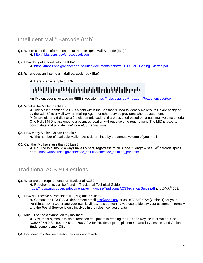## <span id="page-5-0"></span>Intelligent Mail® Barcode (IMb)

#### *Q1:* Where can I find information about the Intelligent Mail Barcode (IMb)? *A:* <http://ribbs.usps.gov/onecodesolution>

#### *Q2:* How do I get started with the IMb?

*A:* [https://ribbs.usps.gov/onecode\\_solution/documents/getstrtd/USPSIMB\\_Getting\\_Started.pdf](https://ribbs.usps.gov/onecode_solution/documents/getstrtd/USPSIMB_Getting_Started.pdf) 

#### *Q3:* **What does an Intelligent Mail barcode look like?**

A: Here is an example of IMb:

## ahin (Piliten in birtahan birtah Pandahan Palitima de

An IMb encoder is located on RIBBS website <https://ribbs.usps.gov/index.cfm?page=encodertool>

#### *Q4:* What is the Mailer Identifier?

*A:* The Mailer Identifier (MID) is a field within the IMb that is used to identify mailers. MIDs are assigned by the USPS<sup>®</sup> to a Mail Owner, Mailing Agent, or other service providers who request them. MIDs are either a 9-digit or a 6-digit numeric code and are assigned based on annual mail volume criteria. One 9-digit MID is assigned to a business location without a volume requirement. The MID is used to consolidate and provide OneCode ACS transactions.

#### *Q5:* How many Mailer IDs can I obtain?

A: The number of available Mailer IDs is determined by the annual volume of your mail.

#### *Q6:* Can the IMb have less than 65 bars?

A: No. The IMb should always have 65 bars, regardless of ZIP Code™ length – see IM® barcode specs here: [https://ribbs.usps.gov/onecode\\_solution/onecode\\_solution\\_print.htm](https://ribbs.usps.gov/onecode_solution/onecode_solution_print.htm)

## Traditional ACS™ Questions

#### *Q1:* What are the requirements for Traditional ACS?

*A:* Requirements can be found in Traditional Technical Guide [https://ribbs.usps.gov/acs/documents/tech\\_guides/TraditionalACSTechnicalGuide.pdf](https://ribbs.usps.gov/acs/documents/tech_guides/TraditionalACSTechnicalGuide.pdf) and *DMM*® 602.

#### *Q2:* How do I receive a Participant ID (PID) and Keyline?

A: Contact the NCSC ACS department email [acs@usps.gov](mailto:acs@usps.gov) or call 877-640-0724(Option 1) for your Participate ID. YOU create your own keylines. It is something you use to identify your customer internally and the Postal Service is only involved in the rules how you create it.

#### **Q3:** Must I use the # symbol on my mailings?

*A:* Yes, the # symbol assists automation equipment in reading the PID and Keyline information. See *DMM* 507.4.2.3a, 507.4.2.5 and 708.7.2.3 for PID description, placement, ancillary services and Optional Endorsement Line (OEL).

*Q4:* Do I need my Keyline creation process approved?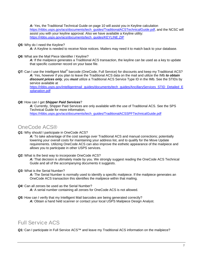<span id="page-6-0"></span>*A:* Yes, the Traditional Technical Guide on page 10 will assist you in Keyline calculation [https://ribbs.usps.gov/acs/documents/tech\\_guides/TraditionalACSTechnicalGuide.pdf](https://ribbs.usps.gov/acs/documents/tech_guides/TraditionalACSTechnicalGuide.pdf), and the NCSC will assist you with your keyline approval. Also we have available a Keyline utility: [https://ribbs.usps.gov/acs/documents/tech\\_guides/KEYLINE.ZIP](https://ribbs.usps.gov/acs/documents/tech_guides/KEYLINE.ZIP) 

#### *Q5:* Why do I need the Keyline?

A: A Keyline is needed to receive Nixie notices. Mailers may need it to match back to your database.

#### *Q6:* What are the Mail Piece Identifier / Keyline?

A: If the mailpiece generates a Traditional ACS transaction, the keyline can be used as a key to update that specific customer record on your base file.

Q7: Can I use the Intelligent Mail® barcode (OneCode, Full Service) for discounts and keep my Traditional ACS? *A:* Yes, however if you plan to leave the Traditional ACS data on the mail and utilize the IMb *to obtain discount prices only*, you *must* utilize a Traditional ACS Service Type ID in the IMb. See the STIDs by service available at

[https://ribbs.usps.gov/intelligentmail\\_guides/documents/tech\\_guides/AncillaryServices\\_STID\\_Detailed\\_E](https://ribbs.usps.gov/intelligentmail_guides/documents/tech_guides/AncillaryServices_STID_Detailed_Explanation.pdf) [xplanation.pdf](https://ribbs.usps.gov/intelligentmail_guides/documents/tech_guides/AncillaryServices_STID_Detailed_Explanation.pdf)

#### *Q8:* How can I get *Shipper Paid Services*?

*A:* Currently, Shipper Paid Services are only available with the use of Traditional ACS. See the SPS Technical Guide for more information,

[https://ribbs.usps.gov/acs/documents/tech\\_guides/TraditionalACSSPFTechnicalGuide.pdf](https://ribbs.usps.gov/acs/documents/tech_guides/TraditionalACSSPFTechnicalGuide.pdf)

## OneCode ACS®

*Q1:* Why should I participate in OneCode ACS?

A: To take advantage of the cost savings over Traditional ACS and manual corrections; potentially lowering your overall costs for maintaining your address list, and to qualify for the Move Update requirements. Utilizing OneCode ACS can also improve the esthetic appearance of the mailpiece and allows you to participate in other USPS services.

*Q2:* What is the best way to incorporate OneCode ACS?

A: That decision is ultimately made by you. We strongly suggest reading the OneCode ACS Technical Guide and all of the accompanying documents it suggests.

*Q3:* What is the Serial Number?

A: The Serial Number is normally used to identify a specific mailpiece. If the mailpiece generates an OneCode ACS transaction this identifies the mailpiece within that mailing.

*Q4:* Can all zeroes be used as the Serial Number?

*A:* A serial number containing all zeroes for OneCode ACS is not allowed.

*Q5:* How can I verify that my Intelligent Mail barcodes are being generated correctly? *A:* Obtain a hand held scanner or contact your local USPS Mailpiece Design Analyst.

## Full Service ACS

Q1: Can I participate in Full Service ACS<sup>™</sup> and leave my Traditional ACS information on the mailpiece?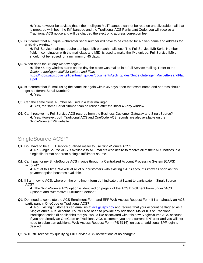<span id="page-7-0"></span>A: Yes, however be advised that if the Intelligent Mail® barcode cannot be read on undeliverable mail that is prepared with both the IM® barcode and the Traditional ACS Participant Code, you will receive a Traditional ACS notice and will be charged the electronic address correction fee.

*Q2:* Is it correct that a unique 9-character serial number will have to be created for a given name and address for a 45-day window?

A: Full Service mailings require a unique IMb on each mailpiece. The Full Service IMb Serial Number field, in combination with the mail class and MID, is used to make the IMb unique. Full Service IMb's should not be reused for a minimum of 45 days.

#### *Q3:* When does the 45-day window begin?

*A:* The 45-day window starts on the day the piece was mailed in a Full Service mailing. Refer to the *Guide to Intelligent Mail for Letters and Flats* in [https://ribbs.usps.gov/intelligentmail\\_guides/documents/tech\\_guides/GuidetoIntelligentMailLettersandFlat](https://ribbs.usps.gov/intelligentmail_guides/documents/tech_guides/GuidetoIntelligentMailLettersandFlats.pdf) [s.pdf](https://ribbs.usps.gov/intelligentmail_guides/documents/tech_guides/GuidetoIntelligentMailLettersandFlats.pdf)

*Q4:* Is it correct that if I mail using the same list again within 45 days, then that exact name and address should get a different Serial Number?

*A:* Yes.

- *Q5:* Can the same Serial Number be used in a later mailing?
	- *A:* Yes, the same Serial Number can be reused after the initial 45-day window.
- *Q6:* Can I receive my Full Service ACS records from the Business Customer Gateway and SingleSource? *A:* Yes. However, both Traditional ACS and OneCode ACS records are also available on the SingleSource EPF website.

### SingleSource ACS<sup>™</sup>

- **Q1:** Do I have to be a Full Service qualified mailer to use SingleSource ACS? A: No, SingleSource ACS is available to ALL mailers who desire to receive all of their ACS notices in a single file format and from a single fulfillment source.
- *Q2:* Can I pay for my SingleSource ACS invoice through a Centralized Account Processing System (CAPS) account?

A: Not at this time. We will let all of our customers with existing CAPS accounts know as soon as this payment option becomes available.

*Q3:* If I am new to ACS, where on the enrollment form do I indicate that I want to participate in SingleSource ACS?

*A:* The SingleSource ACS option is identified on page 2 of the ACS Enrollment Form under "ACS Options" and "Alternative Fulfillment Method".

*Q4:* Do I need to complete the ACS Enrollment Form and EPF Web Access Request Form if I am already an ACS participant in OneCode or Traditional ACS?

A: No. Existing customers can email us at [acs@usps.gov](mailto:acs@usps.gov) and request that your account be flagged as a SingleSource ACS account. You will also need to provide any additional Mailer IDs or Traditional Participant codes (if applicable) that you would like associated with this new SingleSource ACS account. If you are already an OneCode or Traditional ACS customer, you are a current EPF user and you will not need to submit an additional Web Access Request Form (PS 5116), unless an additional EPF login is desired.

*Q5:* Will I still receive my qualifying Full Service ACS notifications at no charge?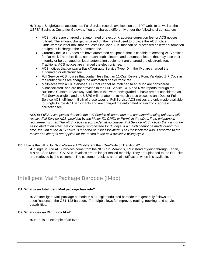<span id="page-8-0"></span>A: Yes, a SingleSource account has Full Service records available on the EPF website as well as the USPS<sup>®</sup> Business Customer Gateway. You are charged differently under the following circumstances:

- ACS mailers are charged the automated or electronic address correction fee for ACS notices fulfilled. The amount charged is based on the method used to provide the ACS notice. Undeliverable letter mail that requests OneCode ACS that can be processed on letter automation equipment is charged the automated fee.
- Currently the USPS does not have automated equipment that is capable of creating ACS notices for flat mail. Therefore flats, non-machineable letters, and automated letters that may lose their integrity or be damaged on letter automation equipment are charged the electronic fee. Traditional ACS notices are charged the electronic fee.
- ACS notices that contain a Basic/Non-auto Service Type ID in the IMb are charged the automated or electronic fee.
- Full Service ACS notices that contain less than an 11-Digit Delivery Point Validated ZIP Code in the routing fields are charged the automated or electronic fee.
- Mailpieces with a Full Service STID that cannot be matched to an eDoc are considered "Unassociated" and are not provided in the Full Service COA and Nixie reports through the Business Customer Gateway. Mailpieces that were downgraded to basic are not considered as Full Service eligible and the USPS will not attempt to match these pieces to an eDoc for Full Service ACS fulfillment. Both of these types of Full Service ACS notices are only made available to SingleSource ACS participants and are charged the automated or electronic address correction fee.

*NOTE: Full Service pieces that lose the Full Service discount due to a container/handling unit error still receive Full Service ACS, provided by the Mailer ID, CRID, or Permit in the eDoc, if the uniqueness requirement is met. The ACS notices are provided at no charge. Full Service ACS notices that cannot be associated to an eDoc are continually reprocessed for 35 days. If a match cannot be made during this time, the IMb in the ACS notice is reported as "Unassociated". The Unassociated IMb is reported to the mailer and charges are applied for the record in the next available billing cycle.* 

*Q6:* How is the billing for SingleSource ACS different than OneCode or Traditional?

*A:* SingleSource ACS invoices come from the NCSC in Memphis, TN instead of going through Eagan, MN and San Mateo, CA. Also, invoices are no longer mailed monthly. They are uploaded to the EPF site and retrieved by the customer. The customer receives an email notification when it is available.

## Intelligent Mail® Package Barcode (IMpb)

#### *Q1:* **What is an Intelligent Mail package barcode?**

*A:* An Intelligent Mail package barcode is a 34-digit modulated barcode that generally follows the specifications of the GS1-128 barcode. The IMpb allows for improved routing, tracking, and service capabilities.

#### *Q2:* **What does an IMpb look like?**

*A:* Here is an example of an IMpb: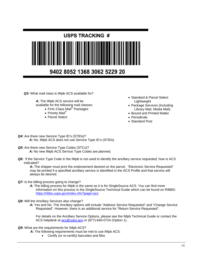

*Q3:* What mail class is IMpb ACS available for?

*A:* The IMpb ACS service will be available for the following mail classes:

- First–Class Mail® Packages
- Priority Mail®
- Parcel Select
- Standard & Parcel Select Lightweight
- Package Services (Including Library Mail, Media Mail)
- Bound and Printed Matter
- Periodicals
- Standard Post
- *Q4:* Are there new Service Type ID's (STIDs)?  *A:* No. IMpb ACS does not use Service Type ID's (STIDs)
- *Q5:* Are there new Service Type Codes (STCs)? *A:* No new IMpb ACS Service Type Codes are planned.
- *Q6:* If the Service Type Code in the IMpb is not used to identify the ancillary service requested, how is ACS indicated?

A: The shipper must print the endorsement desired on the parcel. "Electronic Service Requested" may be printed if a specified ancillary service is identified in the ACS Profile and that service will always be desired.

#### *Q7:* Is the billing process going to change?

- A: The billing process for IMpb is the same as it is for SingleSource ACS. You can find more information on this process in the SingleSource Technical Guide which can be found on RIBBS: <https://ribbs.usps.gov/index.cfm?page=acs>
- *Q8:* Will the Ancillary Services also change?
	- *A:* Yes and No. The Ancillary options still include "Address Service Requested" and "Change Service Requested". However, there is an additional service for "Return Service Requested".

For details on the Ancillary Service Options, please see the IMpb Technical Guide or contact the ACS helpdesk at [acs@usps.gov](mailto:acs@usps.gov) or (877)-640-0724 (Option 1).

#### *Q9:* What are the requirements for IMpb ACS?

A: The following requirements must be met to use IMpb ACS:

• Certify (or re-certify) barcodes and files